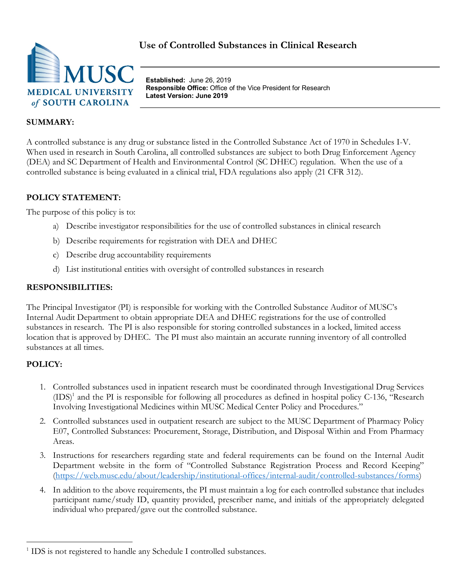

**Established:** June 26, 2019 **Responsible Office:** Office of the Vice President for Research **Latest Version: June 2019**

## **SUMMARY:**

A controlled substance is any drug or substance listed in the Controlled Substance Act of 1970 in Schedules I-V. When used in research in South Carolina, all controlled substances are subject to both Drug Enforcement Agency (DEA) and SC Department of Health and Environmental Control (SC DHEC) regulation. When the use of a controlled substance is being evaluated in a clinical trial, FDA regulations also apply (21 CFR 312).

### **POLICY STATEMENT:**

The purpose of this policy is to:

- a) Describe investigator responsibilities for the use of controlled substances in clinical research
- b) Describe requirements for registration with DEA and DHEC
- c) Describe drug accountability requirements
- d) List institutional entities with oversight of controlled substances in research

## **RESPONSIBILITIES:**

The Principal Investigator (PI) is responsible for working with the Controlled Substance Auditor of MUSC's Internal Audit Department to obtain appropriate DEA and DHEC registrations for the use of controlled substances in research. The PI is also responsible for storing controlled substances in a locked, limited access location that is approved by DHEC. The PI must also maintain an accurate running inventory of all controlled substances at all times.

# **POLICY:**

- 1. Controlled substances used in inpatient research must be coordinated through Investigational Drug Services  $(IDS)^1$  and the PI is responsible for following all procedures as defined in hospital policy C-136, "Research" Involving Investigational Medicines within MUSC Medical Center Policy and Procedures."
- 2. Controlled substances used in outpatient research are subject to the MUSC Department of Pharmacy Policy E07, Controlled Substances: Procurement, Storage, Distribution, and Disposal Within and From Pharmacy Areas.
- 3. Instructions for researchers regarding state and federal requirements can be found on the Internal Audit Department website in the form of "Controlled Substance Registration Process and Record Keeping" (https://web.musc.edu/about/leadership/institutional-offices/internal-audit/controlled-substances/forms)
- 4. In addition to the above requirements, the PI must maintain a log for each controlled substance that includes participant name/study ID, quantity provided, prescriber name, and initials of the appropriately delegated individual who prepared/gave out the controlled substance.

<sup>&</sup>lt;sup>1</sup> IDS is not registered to handle any Schedule I controlled substances.